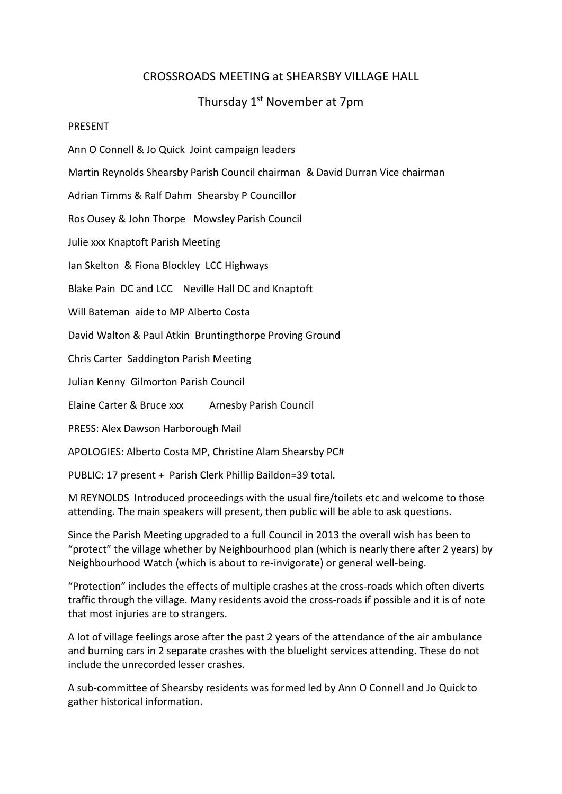## CROSSROADS MEETING at SHEARSBY VILLAGE HALL

## Thursday 1<sup>st</sup> November at 7pm

## PRESENT

Ann O Connell & Jo Quick Joint campaign leaders

Martin Reynolds Shearsby Parish Council chairman & David Durran Vice chairman

Adrian Timms & Ralf Dahm Shearsby P Councillor

Ros Ousey & John Thorpe Mowsley Parish Council

Julie xxx Knaptoft Parish Meeting

Ian Skelton & Fiona Blockley LCC Highways

Blake Pain DC and LCC Neville Hall DC and Knaptoft

Will Bateman aide to MP Alberto Costa

David Walton & Paul Atkin Bruntingthorpe Proving Ground

Chris Carter Saddington Parish Meeting

Julian Kenny Gilmorton Parish Council

Elaine Carter & Bruce xxx Arnesby Parish Council

PRESS: Alex Dawson Harborough Mail

APOLOGIES: Alberto Costa MP, Christine Alam Shearsby PC#

PUBLIC: 17 present + Parish Clerk Phillip Baildon=39 total.

M REYNOLDS Introduced proceedings with the usual fire/toilets etc and welcome to those attending. The main speakers will present, then public will be able to ask questions.

Since the Parish Meeting upgraded to a full Council in 2013 the overall wish has been to "protect" the village whether by Neighbourhood plan (which is nearly there after 2 years) by Neighbourhood Watch (which is about to re-invigorate) or general well-being.

"Protection" includes the effects of multiple crashes at the cross-roads which often diverts traffic through the village. Many residents avoid the cross-roads if possible and it is of note that most injuries are to strangers.

A lot of village feelings arose after the past 2 years of the attendance of the air ambulance and burning cars in 2 separate crashes with the bluelight services attending. These do not include the unrecorded lesser crashes.

A sub-committee of Shearsby residents was formed led by Ann O Connell and Jo Quick to gather historical information.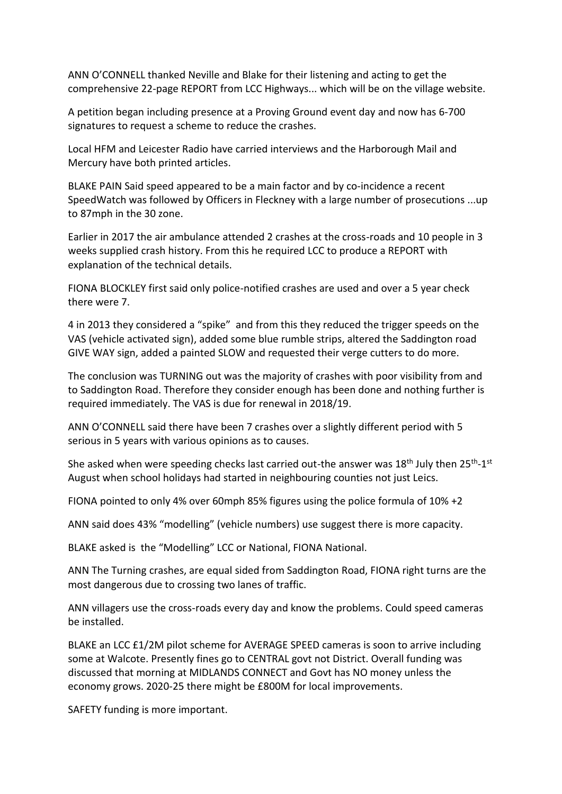ANN O'CONNELL thanked Neville and Blake for their listening and acting to get the comprehensive 22-page REPORT from LCC Highways... which will be on the village website.

A petition began including presence at a Proving Ground event day and now has 6-700 signatures to request a scheme to reduce the crashes.

Local HFM and Leicester Radio have carried interviews and the Harborough Mail and Mercury have both printed articles.

BLAKE PAIN Said speed appeared to be a main factor and by co-incidence a recent SpeedWatch was followed by Officers in Fleckney with a large number of prosecutions ...up to 87mph in the 30 zone.

Earlier in 2017 the air ambulance attended 2 crashes at the cross-roads and 10 people in 3 weeks supplied crash history. From this he required LCC to produce a REPORT with explanation of the technical details.

FIONA BLOCKLEY first said only police-notified crashes are used and over a 5 year check there were 7.

4 in 2013 they considered a "spike" and from this they reduced the trigger speeds on the VAS (vehicle activated sign), added some blue rumble strips, altered the Saddington road GIVE WAY sign, added a painted SLOW and requested their verge cutters to do more.

The conclusion was TURNING out was the majority of crashes with poor visibility from and to Saddington Road. Therefore they consider enough has been done and nothing further is required immediately. The VAS is due for renewal in 2018/19.

ANN O'CONNELL said there have been 7 crashes over a slightly different period with 5 serious in 5 years with various opinions as to causes.

She asked when were speeding checks last carried out-the answer was 18<sup>th</sup> July then 25<sup>th</sup>-1<sup>st</sup> August when school holidays had started in neighbouring counties not just Leics.

FIONA pointed to only 4% over 60mph 85% figures using the police formula of 10% +2

ANN said does 43% "modelling" (vehicle numbers) use suggest there is more capacity.

BLAKE asked is the "Modelling" LCC or National, FIONA National.

ANN The Turning crashes, are equal sided from Saddington Road, FIONA right turns are the most dangerous due to crossing two lanes of traffic.

ANN villagers use the cross-roads every day and know the problems. Could speed cameras be installed.

BLAKE an LCC £1/2M pilot scheme for AVERAGE SPEED cameras is soon to arrive including some at Walcote. Presently fines go to CENTRAL govt not District. Overall funding was discussed that morning at MIDLANDS CONNECT and Govt has NO money unless the economy grows. 2020-25 there might be £800M for local improvements.

SAFETY funding is more important.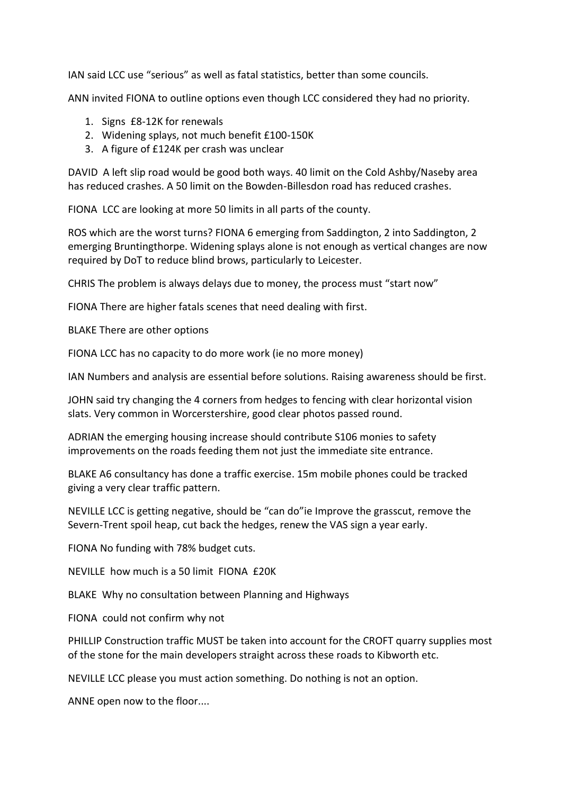IAN said LCC use "serious" as well as fatal statistics, better than some councils.

ANN invited FIONA to outline options even though LCC considered they had no priority.

- 1. Signs £8-12K for renewals
- 2. Widening splays, not much benefit £100-150K
- 3. A figure of £124K per crash was unclear

DAVID A left slip road would be good both ways. 40 limit on the Cold Ashby/Naseby area has reduced crashes. A 50 limit on the Bowden-Billesdon road has reduced crashes.

FIONA LCC are looking at more 50 limits in all parts of the county.

ROS which are the worst turns? FIONA 6 emerging from Saddington, 2 into Saddington, 2 emerging Bruntingthorpe. Widening splays alone is not enough as vertical changes are now required by DoT to reduce blind brows, particularly to Leicester.

CHRIS The problem is always delays due to money, the process must "start now"

FIONA There are higher fatals scenes that need dealing with first.

BLAKE There are other options

FIONA LCC has no capacity to do more work (ie no more money)

IAN Numbers and analysis are essential before solutions. Raising awareness should be first.

JOHN said try changing the 4 corners from hedges to fencing with clear horizontal vision slats. Very common in Worcerstershire, good clear photos passed round.

ADRIAN the emerging housing increase should contribute S106 monies to safety improvements on the roads feeding them not just the immediate site entrance.

BLAKE A6 consultancy has done a traffic exercise. 15m mobile phones could be tracked giving a very clear traffic pattern.

NEVILLE LCC is getting negative, should be "can do"ie Improve the grasscut, remove the Severn-Trent spoil heap, cut back the hedges, renew the VAS sign a year early.

FIONA No funding with 78% budget cuts.

NEVILLE how much is a 50 limit FIONA £20K

BLAKE Why no consultation between Planning and Highways

FIONA could not confirm why not

PHILLIP Construction traffic MUST be taken into account for the CROFT quarry supplies most of the stone for the main developers straight across these roads to Kibworth etc.

NEVILLE LCC please you must action something. Do nothing is not an option.

ANNE open now to the floor....